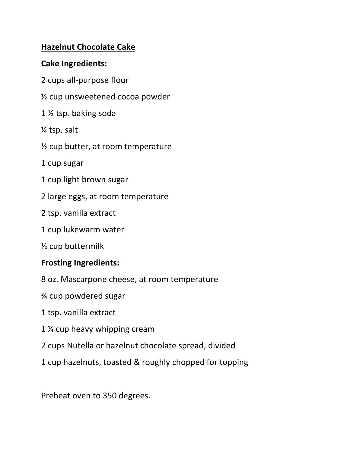## **Hazelnut Chocolate Cake**

## **Cake Ingredients:**

- 2 cups all-purpose flour
- ½ cup unsweetened cocoa powder
- 1 ½ tsp. baking soda
- ¼ tsp. salt
- ½ cup butter, at room temperature
- 1 cup sugar
- 1 cup light brown sugar
- 2 large eggs, at room temperature
- 2 tsp. vanilla extract
- 1 cup lukewarm water
- ½ cup buttermilk

## **Frosting Ingredients:**

- 8 oz. Mascarpone cheese, at room temperature
- ¾ cup powdered sugar
- 1 tsp. vanilla extract
- 1 ¼ cup heavy whipping cream
- 2 cups Nutella or hazelnut chocolate spread, divided
- 1 cup hazelnuts, toasted & roughly chopped for topping

Preheat oven to 350 degrees.